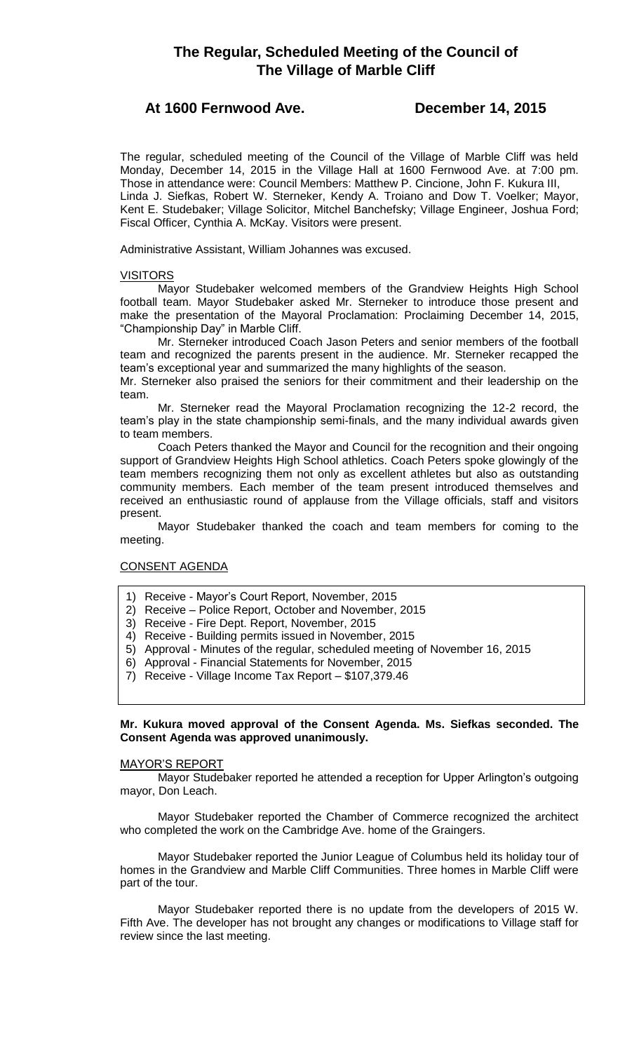# **At 1600 Fernwood Ave. December 14, 2015**

The regular, scheduled meeting of the Council of the Village of Marble Cliff was held Monday, December 14, 2015 in the Village Hall at 1600 Fernwood Ave. at 7:00 pm. Those in attendance were: Council Members: Matthew P. Cincione, John F. Kukura III, Linda J. Siefkas, Robert W. Sterneker, Kendy A. Troiano and Dow T. Voelker; Mayor, Kent E. Studebaker; Village Solicitor, Mitchel Banchefsky; Village Engineer, Joshua Ford; Fiscal Officer, Cynthia A. McKay. Visitors were present.

Administrative Assistant, William Johannes was excused.

## VISITORS

Mayor Studebaker welcomed members of the Grandview Heights High School football team. Mayor Studebaker asked Mr. Sterneker to introduce those present and make the presentation of the Mayoral Proclamation: Proclaiming December 14, 2015, "Championship Day" in Marble Cliff.

Mr. Sterneker introduced Coach Jason Peters and senior members of the football team and recognized the parents present in the audience. Mr. Sterneker recapped the team's exceptional year and summarized the many highlights of the season.

Mr. Sterneker also praised the seniors for their commitment and their leadership on the team.

Mr. Sterneker read the Mayoral Proclamation recognizing the 12-2 record, the team's play in the state championship semi-finals, and the many individual awards given to team members.

Coach Peters thanked the Mayor and Council for the recognition and their ongoing support of Grandview Heights High School athletics. Coach Peters spoke glowingly of the team members recognizing them not only as excellent athletes but also as outstanding community members. Each member of the team present introduced themselves and received an enthusiastic round of applause from the Village officials, staff and visitors present.

Mayor Studebaker thanked the coach and team members for coming to the meeting.

## CONSENT AGENDA

- 1) Receive Mayor's Court Report, November, 2015
- 2) Receive Police Report, October and November, 2015
- 3) Receive Fire Dept. Report, November, 2015
- 4) Receive Building permits issued in November, 2015
- 5) Approval Minutes of the regular, scheduled meeting of November 16, 2015
- 6) Approval Financial Statements for November, 2015
- 7) Receive Village Income Tax Report \$107,379.46

## **Mr. Kukura moved approval of the Consent Agenda. Ms. Siefkas seconded. The Consent Agenda was approved unanimously.**

## MAYOR'S REPORT

Mayor Studebaker reported he attended a reception for Upper Arlington's outgoing mayor, Don Leach.

Mayor Studebaker reported the Chamber of Commerce recognized the architect who completed the work on the Cambridge Ave. home of the Graingers.

Mayor Studebaker reported the Junior League of Columbus held its holiday tour of homes in the Grandview and Marble Cliff Communities. Three homes in Marble Cliff were part of the tour.

Mayor Studebaker reported there is no update from the developers of 2015 W. Fifth Ave. The developer has not brought any changes or modifications to Village staff for review since the last meeting.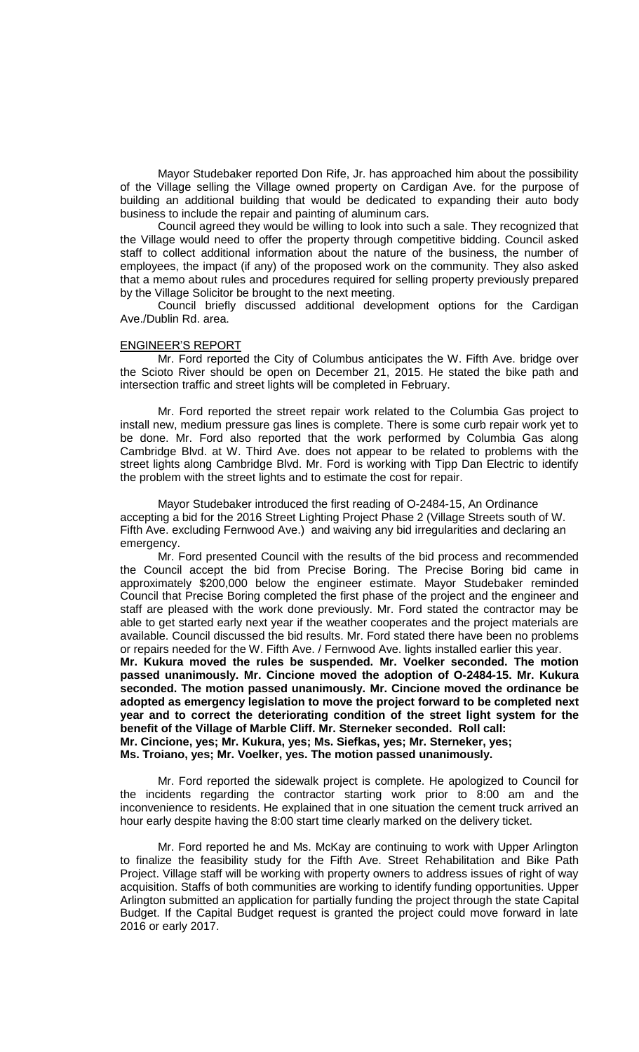Mayor Studebaker reported Don Rife, Jr. has approached him about the possibility of the Village selling the Village owned property on Cardigan Ave. for the purpose of building an additional building that would be dedicated to expanding their auto body business to include the repair and painting of aluminum cars.

Council agreed they would be willing to look into such a sale. They recognized that the Village would need to offer the property through competitive bidding. Council asked staff to collect additional information about the nature of the business, the number of employees, the impact (if any) of the proposed work on the community. They also asked that a memo about rules and procedures required for selling property previously prepared by the Village Solicitor be brought to the next meeting.

Council briefly discussed additional development options for the Cardigan Ave./Dublin Rd. area.

#### ENGINEER'S REPORT

Mr. Ford reported the City of Columbus anticipates the W. Fifth Ave. bridge over the Scioto River should be open on December 21, 2015. He stated the bike path and intersection traffic and street lights will be completed in February.

Mr. Ford reported the street repair work related to the Columbia Gas project to install new, medium pressure gas lines is complete. There is some curb repair work yet to be done. Mr. Ford also reported that the work performed by Columbia Gas along Cambridge Blvd. at W. Third Ave. does not appear to be related to problems with the street lights along Cambridge Blvd. Mr. Ford is working with Tipp Dan Electric to identify the problem with the street lights and to estimate the cost for repair.

Mayor Studebaker introduced the first reading of O-2484-15, An Ordinance accepting a bid for the 2016 Street Lighting Project Phase 2 (Village Streets south of W. Fifth Ave. excluding Fernwood Ave.) and waiving any bid irregularities and declaring an emergency.

Mr. Ford presented Council with the results of the bid process and recommended the Council accept the bid from Precise Boring. The Precise Boring bid came in approximately \$200,000 below the engineer estimate. Mayor Studebaker reminded Council that Precise Boring completed the first phase of the project and the engineer and staff are pleased with the work done previously. Mr. Ford stated the contractor may be able to get started early next year if the weather cooperates and the project materials are available. Council discussed the bid results. Mr. Ford stated there have been no problems or repairs needed for the W. Fifth Ave. / Fernwood Ave. lights installed earlier this year. **Mr. Kukura moved the rules be suspended. Mr. Voelker seconded. The motion passed unanimously. Mr. Cincione moved the adoption of O-2484-15. Mr. Kukura seconded. The motion passed unanimously. Mr. Cincione moved the ordinance be adopted as emergency legislation to move the project forward to be completed next year and to correct the deteriorating condition of the street light system for the benefit of the Village of Marble Cliff. Mr. Sterneker seconded. Roll call: Mr. Cincione, yes; Mr. Kukura, yes; Ms. Siefkas, yes; Mr. Sterneker, yes; Ms. Troiano, yes; Mr. Voelker, yes. The motion passed unanimously.**

Mr. Ford reported the sidewalk project is complete. He apologized to Council for the incidents regarding the contractor starting work prior to 8:00 am and the inconvenience to residents. He explained that in one situation the cement truck arrived an hour early despite having the 8:00 start time clearly marked on the delivery ticket.

Mr. Ford reported he and Ms. McKay are continuing to work with Upper Arlington to finalize the feasibility study for the Fifth Ave. Street Rehabilitation and Bike Path Project. Village staff will be working with property owners to address issues of right of way acquisition. Staffs of both communities are working to identify funding opportunities. Upper Arlington submitted an application for partially funding the project through the state Capital Budget. If the Capital Budget request is granted the project could move forward in late 2016 or early 2017.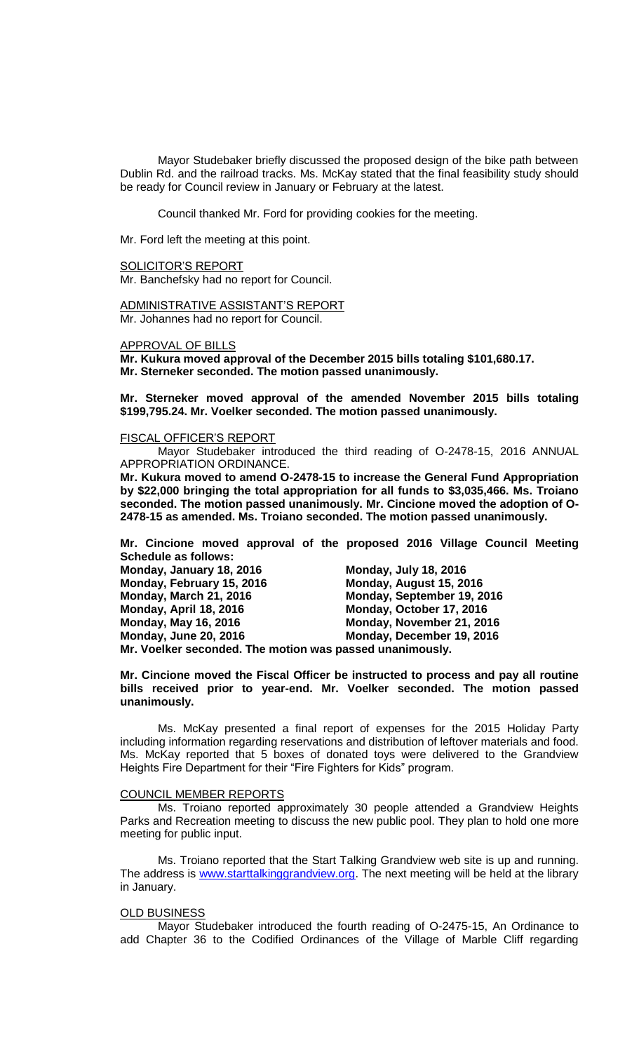Mayor Studebaker briefly discussed the proposed design of the bike path between Dublin Rd. and the railroad tracks. Ms. McKay stated that the final feasibility study should be ready for Council review in January or February at the latest.

Council thanked Mr. Ford for providing cookies for the meeting.

Mr. Ford left the meeting at this point.

SOLICITOR'S REPORT Mr. Banchefsky had no report for Council.

ADMINISTRATIVE ASSISTANT'S REPORT Mr. Johannes had no report for Council.

APPROVAL OF BILLS

**Mr. Kukura moved approval of the December 2015 bills totaling \$101,680.17. Mr. Sterneker seconded. The motion passed unanimously.**

**Mr. Sterneker moved approval of the amended November 2015 bills totaling \$199,795.24. Mr. Voelker seconded. The motion passed unanimously.**

#### FISCAL OFFICER'S REPORT

Mayor Studebaker introduced the third reading of O-2478-15, 2016 ANNUAL APPROPRIATION ORDINANCE.

**Mr. Kukura moved to amend O-2478-15 to increase the General Fund Appropriation by \$22,000 bringing the total appropriation for all funds to \$3,035,466. Ms. Troiano seconded. The motion passed unanimously. Mr. Cincione moved the adoption of O-2478-15 as amended. Ms. Troiano seconded. The motion passed unanimously.**

**Mr. Cincione moved approval of the proposed 2016 Village Council Meeting Schedule as follows:**

**Monday, January 18, 2016 Monday, July 18, 2016 Monday, February 15, 2016 Monday, August 15, 2016 Monday, March 21, 2016 Monday, September 19, 2016 Monday, April 18, 2016 Monday, October 17, 2016 Monday, May 16, 2016 Monday, November 21, 2016 Monday, June 20, 2016 Monday, December 19, 2016 Mr. Voelker seconded. The motion was passed unanimously.**

**Mr. Cincione moved the Fiscal Officer be instructed to process and pay all routine bills received prior to year-end. Mr. Voelker seconded. The motion passed unanimously.**

Ms. McKay presented a final report of expenses for the 2015 Holiday Party including information regarding reservations and distribution of leftover materials and food. Ms. McKay reported that 5 boxes of donated toys were delivered to the Grandview Heights Fire Department for their "Fire Fighters for Kids" program.

#### COUNCIL MEMBER REPORTS

Ms. Troiano reported approximately 30 people attended a Grandview Heights Parks and Recreation meeting to discuss the new public pool. They plan to hold one more meeting for public input.

Ms. Troiano reported that the Start Talking Grandview web site is up and running. The address is [www.starttalkinggrandview.org.](http://www.starttalkinggrandview.org/) The next meeting will be held at the library in January.

### OLD BUSINESS

Mayor Studebaker introduced the fourth reading of O-2475-15, An Ordinance to add Chapter 36 to the Codified Ordinances of the Village of Marble Cliff regarding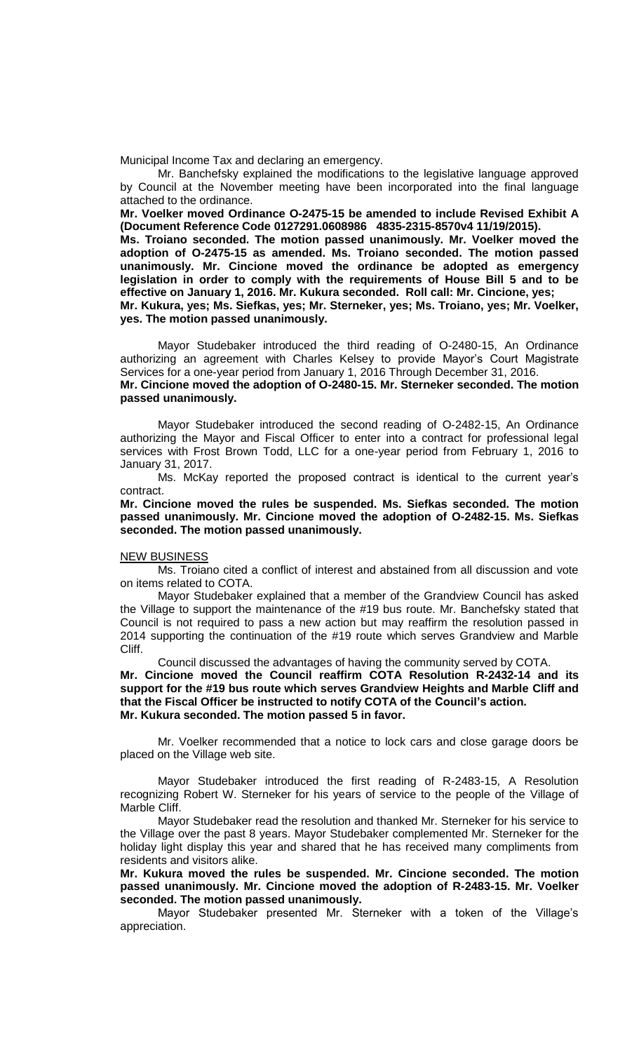Municipal Income Tax and declaring an emergency.

Mr. Banchefsky explained the modifications to the legislative language approved by Council at the November meeting have been incorporated into the final language attached to the ordinance.

**Mr. Voelker moved Ordinance O-2475-15 be amended to include Revised Exhibit A (Document Reference Code 0127291.0608986 4835-2315-8570v4 11/19/2015).** 

**Ms. Troiano seconded. The motion passed unanimously. Mr. Voelker moved the adoption of O-2475-15 as amended. Ms. Troiano seconded. The motion passed unanimously. Mr. Cincione moved the ordinance be adopted as emergency legislation in order to comply with the requirements of House Bill 5 and to be effective on January 1, 2016. Mr. Kukura seconded. Roll call: Mr. Cincione, yes; Mr. Kukura, yes; Ms. Siefkas, yes; Mr. Sterneker, yes; Ms. Troiano, yes; Mr. Voelker,** 

**yes. The motion passed unanimously.**

Mayor Studebaker introduced the third reading of O-2480-15, An Ordinance authorizing an agreement with Charles Kelsey to provide Mayor's Court Magistrate Services for a one-year period from January 1, 2016 Through December 31, 2016. **Mr. Cincione moved the adoption of O-2480-15. Mr. Sterneker seconded. The motion passed unanimously.**

Mayor Studebaker introduced the second reading of O-2482-15, An Ordinance authorizing the Mayor and Fiscal Officer to enter into a contract for professional legal services with Frost Brown Todd, LLC for a one-year period from February 1, 2016 to January 31, 2017.

Ms. McKay reported the proposed contract is identical to the current year's contract.

**Mr. Cincione moved the rules be suspended. Ms. Siefkas seconded. The motion passed unanimously. Mr. Cincione moved the adoption of O-2482-15. Ms. Siefkas seconded. The motion passed unanimously.**

#### NEW BUSINESS

Ms. Troiano cited a conflict of interest and abstained from all discussion and vote on items related to COTA.

Mayor Studebaker explained that a member of the Grandview Council has asked the Village to support the maintenance of the #19 bus route. Mr. Banchefsky stated that Council is not required to pass a new action but may reaffirm the resolution passed in 2014 supporting the continuation of the #19 route which serves Grandview and Marble Cliff.

Council discussed the advantages of having the community served by COTA.

**Mr. Cincione moved the Council reaffirm COTA Resolution R-2432-14 and its support for the #19 bus route which serves Grandview Heights and Marble Cliff and that the Fiscal Officer be instructed to notify COTA of the Council's action. Mr. Kukura seconded. The motion passed 5 in favor.**

Mr. Voelker recommended that a notice to lock cars and close garage doors be placed on the Village web site.

Mayor Studebaker introduced the first reading of R-2483-15, A Resolution recognizing Robert W. Sterneker for his years of service to the people of the Village of Marble Cliff.

Mayor Studebaker read the resolution and thanked Mr. Sterneker for his service to the Village over the past 8 years. Mayor Studebaker complemented Mr. Sterneker for the holiday light display this year and shared that he has received many compliments from residents and visitors alike.

**Mr. Kukura moved the rules be suspended. Mr. Cincione seconded. The motion passed unanimously. Mr. Cincione moved the adoption of R-2483-15. Mr. Voelker seconded. The motion passed unanimously.**

Mayor Studebaker presented Mr. Sterneker with a token of the Village's appreciation.